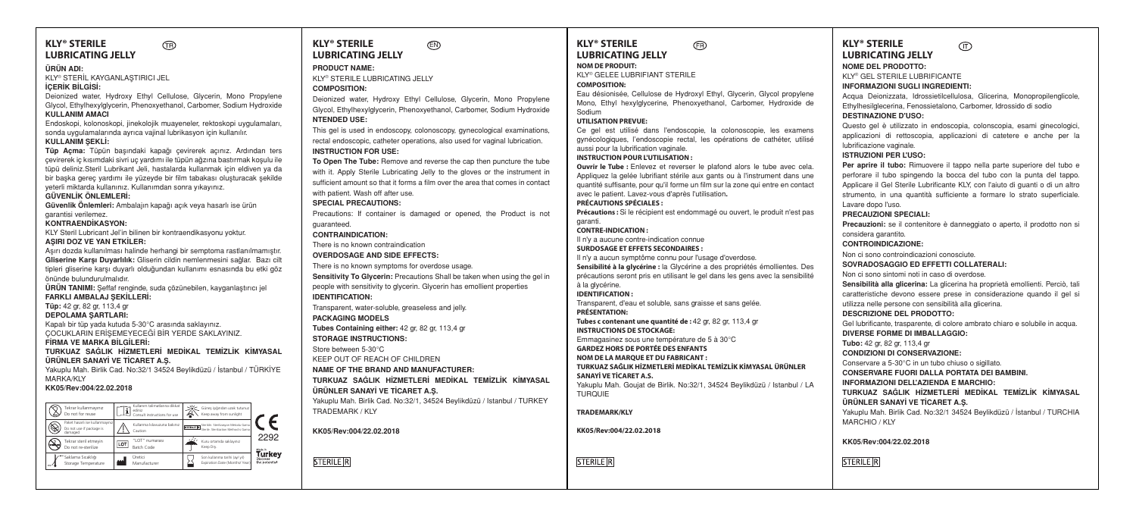| <b>KLY<sup>®</sup> STERILE</b><br>ΤR                                                                                                                                                                            | <b>KLY<sup>®</sup> STERILE</b><br>΄        |
|-----------------------------------------------------------------------------------------------------------------------------------------------------------------------------------------------------------------|--------------------------------------------|
| <b>LUBRICATING JELLY</b>                                                                                                                                                                                        | <b>LUBRICATING JELLY</b>                   |
| ÜRÜN ADI:                                                                                                                                                                                                       | <b>PRODUCT NAME:</b>                       |
| KLY® STERİL KAYGANLASTIRICI JEL                                                                                                                                                                                 | <b>KLY® STERILE LUBRICATING JELLY</b>      |
| <b>İCERİK BİLGİSİ:</b>                                                                                                                                                                                          | <b>COMPOSITION:</b>                        |
| Deionized water, Hydroxy Ethyl Cellulose, Glycerin, Mono Propylene                                                                                                                                              | Deionized water, Hydroxy Ethyl Cell        |
| Glycol, Ethylhexylglycerin, Phenoxyethanol, Carbomer, Sodium Hydroxide<br><b>KULLANIM AMACI</b>                                                                                                                 | Glycol, Ethylhexylglycerin, Phenoxyetha    |
| Endoskopi, kolonoskopi, jinekolojik muayeneler, rektoskopi uygulamaları,                                                                                                                                        | <b>NTENDED USE:</b>                        |
| sonda uygulamalarında ayrıca vajinal lubrikasyon için kullanılır.                                                                                                                                               | This gel is used in endoscopy, colonos     |
| KULLANIM SEKLİ:                                                                                                                                                                                                 | rectal endoscopic, catheter operations,    |
| Tüp Açma: Tüpün başındaki kapağı çevirerek açınız. Ardından ters                                                                                                                                                | <b>INSTRUCTION FOR USE:</b>                |
| çevirerek iç kısımdaki sivri uç yardımı ile tüpün ağzına baştırmak koşulu ile                                                                                                                                   | To Open The Tube: Remove and reve          |
| tüpü deliniz.Steril Lubrikant Jeli, hastalarda kullanmak için eldiven ya da                                                                                                                                     | with it. Apply Sterile Lubricating Jelly   |
| bir başka gerec yardımı ile yüzeyde bir film tabakası oluşturacak şekilde                                                                                                                                       | sufficient amount so that it forms a film  |
| yeterli miktarda kullanınız. Kullanımdan sonra yıkayınız.<br>GÜVENLİK ÖNLEMLERİ:                                                                                                                                | with patient. Wash off after use.          |
| Güvenlik Önlemleri: Ambalajın kapağı açık veya hasarlı ise ürün                                                                                                                                                 | <b>SPECIAL PRECAUTIONS:</b>                |
| garantisi verilemez.                                                                                                                                                                                            | Precautions: If container is damaged       |
| <b>KONTRAENDIKASYON:</b>                                                                                                                                                                                        | quaranteed.                                |
| KLY Steril Lubricant Jel'in bilinen bir kontraendikasyonu yoktur.                                                                                                                                               | <b>CONTRAINDICATION:</b>                   |
| ASIRI DOZ VE YAN ETKİLER:                                                                                                                                                                                       | There is no known contraindication         |
| Aşırı dozda kullanılması halinde herhangi bir semptoma rastlanılmamıştır.                                                                                                                                       | <b>OVERDOSAGE AND SIDE EFFECTS:</b>        |
| Gliserine Karşı Duyarlılık: Gliserin cildin nemlenmesini sağlar. Bazı cilt<br>tipleri gliserine karşı duyarlı olduğundan kullanımı esnasında bu etki göz                                                        | There is no known symptoms for overd       |
| önünde bulundurulmalıdır.                                                                                                                                                                                       | Sensitivity To Glycerin: Precautions S     |
| <b>ÜRÜN TANIMI:</b> Seffaf renginde, suda çözünebilen, kayganlaştırıcı jel                                                                                                                                      | people with sensitivity to glycerin. Glyce |
| FARKLI AMBALAJ SEKİLLERİ:                                                                                                                                                                                       | <b>IDENTIFICATION:</b>                     |
| Tüp: 42 gr, 82 gr, 113,4 gr                                                                                                                                                                                     | Transparent, water-soluble, greaseless     |
| <b>DEPOLAMA SARTLARI:</b>                                                                                                                                                                                       | <b>PACKAGING MODELS</b>                    |
| Kapalı bir tüp yada kutuda 5-30°C arasında saklayınız.                                                                                                                                                          | Tubes Containing either: 42 gr, 82 gr,     |
| COCUKLARIN ERİŞEMEYECEĞİ BİR YERDE SAKLAYINIZ.<br>FIRMA VE MARKA BILGİLERİ:                                                                                                                                     | <b>STORAGE INSTRUCTIONS:</b>               |
| TURKUAZ SAĞLIK HİZMETLERİ MEDİKAL TEMİZLİK KİMYASAL                                                                                                                                                             | Store between 5-30°C                       |
| ÜRÜNLER SANAYİ VE TİCARET A.Ş.                                                                                                                                                                                  | KEEP OUT OF REACH OF CHILDREN              |
| Yakuplu Mah. Birlik Cad. No:32/1 34524 Beylikdüzü / İstanbul / TÜRKİYE                                                                                                                                          | NAME OF THE BRAND AND MANUF                |
| <b>MARKA/KLY</b>                                                                                                                                                                                                | TURKUAZ SAĞLIK HİZMETLERİ M                |
| KK05/Rev:004/22.02.2018                                                                                                                                                                                         | ÜRÜNLER SANAYİ VE TİCARET A.S.             |
| Kullanım talimatlarına dikkat                                                                                                                                                                                   | Yakuplu Mah. Birlik Cad. No:32/1, 3452     |
| Güneş işığından uzak tutunuz<br>Tekrar kullanmayınız<br>f<br>ediniz<br>Do not for reuse<br>Keep away from sunlight<br>Consult instructions for use                                                              | TRADEMARK / KLY                            |
| Paket hasarlı ise kullanmayınız<br>Kullanma kilavuzuna bakınız<br>Sterildir. Sterilizasyon Metodu Gam<br>STERLE R Sterle: Sterlization Method is Gama<br>Do not use if package is<br>Caution<br>damaged<br>2292 | KK05/Rev:004/22.02.2018                    |
| "LOT" numarası<br>Kuru ortamda saklayınız<br>Tekrar steril etmeyin<br><b>I.O</b> "<br>Keep Dry.<br>Do not re-sterilize<br><b>Batch Code</b><br>Made in                                                          |                                            |
| Turkey<br>Saklama Sıcaklığı<br>Uretici<br>Son kullanma tarihi (ay/ yil)<br>Discover<br>the potential<br>Expiration Date (Months/ Year)<br>Storage Temperature<br>Manufacturer                                   | <b>STERILE R</b>                           |
|                                                                                                                                                                                                                 |                                            |

#### **KLY® STERILE NOM DE PRODUIT: COMPOSITION:** Sodium garanti. **CONTRE-INDICATION :** à la glycérine. **IDENTIFICATION : PRÉSENTATION:** TURQUE. **TRADEMARK/KLY LIELLY** RICATING JELLY vdroxy Ethyl Cellulose, Glycerin, Mono Propylene vcerin, Phenoxyethanol, Carbomer, Sodium Hydroxide endoscopy, colonoscopy, gynecological examinations, atheter operations, also used for vaginal lubrication. **INSTRUCTION FOR USE: The The Tube Tube:** Remove and reverse the cap then puncture the tube: **Lubricating Jelly to the gloves or the instrument in** that it forms a film over the area that comes in contact off after use. **SROIT** tainer is damaged or opened, the Product is not ገN· ontraindication **ID SIDE EFFECTS:** symptoms for overdose usage. **Serin:** Precautions Shall be taken when using the gel in ity to glycerin. Glycerin has emollient properties soluble, greaseless and jelly. **FLS Tubes Containing either:** 42 gr, 82 gr, 113,4 gr **CTIONS: CHOE CHILDREN AND AND MANUFACTURER:** K HİZMETLERİ MEDİKAL TEMİZLİK KİMYASAL **VE TİCARET A.S.** Cad. No:32/1, 34524 Beylikdüzü / Istanbul / TURKEY **KK05/Rev:004/22.02.2018**

# **FR LUBRICATING JELLY**

KLY® GELEE LUBRIFIANT STERILE

Eau désionisée, Cellulose de Hydroxyl Ethyl, Glycerin, Glycol propylene Mono, Ethyl hexylglycerine, Phenoxyethanol, Carbomer, Hydroxide de

### **UTILISATION PREVUE:**

Ce gel est utilisé dans l'endoscopie, la colonoscopie, les examens gynécologiques, l'endoscopie rectal, les opérations de cathéter, utilisé aussi pour la lubrification vaginale.

#### **INSTRUCTION POUR L'UTILISATION :**

**Ouvrir le Tube :** Enlevez et reverser le plafond alors le tube avec cela. Appliquez la gelée lubrifiant stérile aux gants ou à l'instrument dans une quantité suffisante, pour qu'il forme un film sur la zone qui entre en contact avec le patient. Lavez-vous d'après l'utilisation**.**

**PRÉCAUTIONS SPÉCIALES : Précautions :** Si le récipient est endommagé ou ouvert, le produit n'est pas

Il n'y a aucune contre-indication connue

```
SURDOSAGE ET EFFETS SECONDAIRES :
Il n'y a aucun symptôme connu pour l'usage d'overdose.
Sensibilité à la glycérine : la Glycérine a des propriétés émollientes. Des 
précautions seront pris en utilisant le gel dans les gens avec la sensibilité
```
Transparent, d'eau et soluble, sans graisse et sans gelée.

**Tubes c contenant une quantité de :** 42 gr, 82 gr, 113,4 gr **INSTRUCTIONS DE STOCKAGE:** Emmagasinez sous une température de 5 à 30°C

## **GARDEZ HORS DE PORTÉE DES ENFANTS**

**NOM DE LA MARQUE ET DU FABRICANT : TURKUAZ SAĞLIK HİZMETLERİ MEDİKAL TEMİZLİK KİMYASAL ÜRÜNLER SANAYİ VE TİCARET A.S.**

Yakuplu Mah. Goujat de Birlik. No:32/1, 34524 Beylikdüzü / Istanbul / LA

#### **KK05/Rev:004/22.02.2018**

**STERILE R** 

**KLY® STERILE**   $\sqrt{\Gamma}$ **LUBRICATING JELLY NOME DEL PRODOTTO:**

KLY® GEL STERILE LUBRIFICANTE **INFORMAZIONI SUGLI INGREDIENTI:**

Acqua Deionizzata, Idrossietilcellulosa, Glicerina, Monopropilenglicole, Ethylhesilglecerina, Fenossietalono, Carbomer, Idrossido di sodio

## **DESTINAZIONE D'USO:**

Questo gel è utilizzato in endoscopia, colonscopia, esami ginecologici, applicazioni di rettoscopia, applicazioni di catetere e anche per la lubrificazione vaginale.

**ISTRUZIONI PER L'USO:**

**Per aprire il tubo:** Rimuovere il tappo nella parte superiore del tubo e perforare il tubo spingendo la bocca del tubo con la punta del tappo. Applicare il Gel Sterile Lubrificante KLY, con l'aiuto di guanti o di un altro strumento, in una quantità sufficiente a formare lo strato superficiale. Lavare dopo l'uso. **PRECAUZIONI SPECIALI:**

**Precauzioni:** se il contenitore è danneggiato o aperto, il prodotto non si considera garantito.

**CONTROINDICAZIONE:**

Non ci sono controindicazioni conosciute. **SOVRADOSAGGIO ED EFFETTI COLLATERALI:**  Non ci sono sintomi noti in caso di overdose. **Sensibilità alla glicerina:** La glicerina ha proprietà emollienti. Perciò, tali caratteristiche devono essere prese in considerazione quando il gel si utilizza nelle persone con sensibilità alla glicerina. **DESCRIZIONE DEL PRODOTTO:** Gel lubrificante, trasparente, di colore ambrato chiaro e solubile in acqua. **DIVERSE FORME DI IMBALLAGGIO: Tubo:** 42 gr, 82 gr, 113,4 gr **CONDIZIONI DI CONSERVAZIONE:**

Conservare a 5-30°C in un tubo chiuso o sigillato. **CONSERVARE FUORI DALLA PORTATA DEI BAMBINI.**

**INFORMAZIONI DELL'AZIENDA E MARCHIO:**

**TURKUAZ SAĞLIK HİZMETLERİ MEDİKAL TEMİZLİK KİMYASAL ÜRÜNLER SANAYİ VE TİCARET A.Ş.**

Yakuplu Mah. Birlik Cad. No:32/1 34524 Beylikdüzü / İstanbul / TURCHIA MARCHIO / KLY

**KK05/Rev:004/22.02.2018** 

**STERILE R**